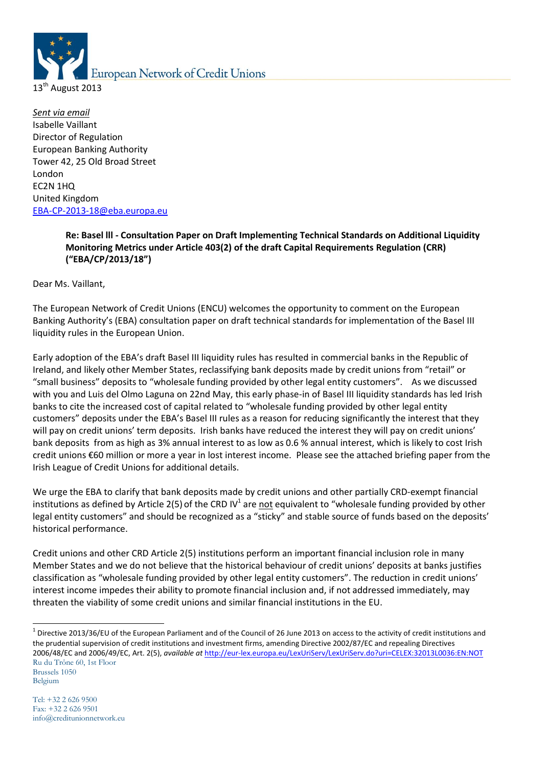

*Sent via email* Isabelle Vaillant Director of Regulation European Banking Authority Tower 42, 25 Old Broad Street London EC2N 1HQ United Kingdom [EBA-CP-2013-18@eba.europa.eu](mailto:EBA-CP-2013-18@eba.europa.eu)

## **Re: Basel lll - Consultation Paper on Draft Implementing Technical Standards on Additional Liquidity Monitoring Metrics under Article 403(2) of the draft Capital Requirements Regulation (CRR) ("EBA/CP/2013/18")**

Dear Ms. Vaillant,

The European Network of Credit Unions (ENCU) welcomes the opportunity to comment on the European Banking Authority's (EBA) consultation paper on draft technical standards for implementation of the Basel III liquidity rules in the European Union.

Early adoption of the EBA's draft Basel III liquidity rules has resulted in commercial banks in the Republic of Ireland, and likely other Member States, reclassifying bank deposits made by credit unions from "retail" or "small business" deposits to "wholesale funding provided by other legal entity customers". As we discussed with you and Luis del Olmo Laguna on 22nd May, this early phase-in of Basel III liquidity standards has led Irish banks to cite the increased cost of capital related to "wholesale funding provided by other legal entity customers" deposits under the EBA's Basel III rules as a reason for reducing significantly the interest that they will pay on credit unions' term deposits. Irish banks have reduced the interest they will pay on credit unions' bank deposits from as high as 3% annual interest to as low as 0.6 % annual interest, which is likely to cost Irish credit unions €60 million or more a year in lost interest income. Please see the attached briefing paper from the Irish League of Credit Unions for additional details.

We urge the EBA to clarify that bank deposits made by credit unions and other partially CRD-exempt financial institutions as defined by Article 2(5) of the CRD IV<sup>1</sup> are not equivalent to "wholesale funding provided by other legal entity customers" and should be recognized as a "sticky" and stable source of funds based on the deposits' historical performance.

Credit unions and other CRD Article 2(5) institutions perform an important financial inclusion role in many Member States and we do not believe that the historical behaviour of credit unions' deposits at banks justifies classification as "wholesale funding provided by other legal entity customers". The reduction in credit unions' interest income impedes their ability to promote financial inclusion and, if not addressed immediately, may threaten the viability of some credit unions and similar financial institutions in the EU.

-

Ru du Trône 60, 1st Floor  $^1$  Directive 2013/36/EU of the European Parliament and of the Council of 26 June 2013 on access to the activity of credit institutions and the prudential supervision of credit institutions and investment firms, amending Directive 2002/87/EC and repealing Directives 2006/48/EC and 2006/49/EC, Art. 2(5), *available at* <http://eur-lex.europa.eu/LexUriServ/LexUriServ.do?uri=CELEX:32013L0036:EN:NOT>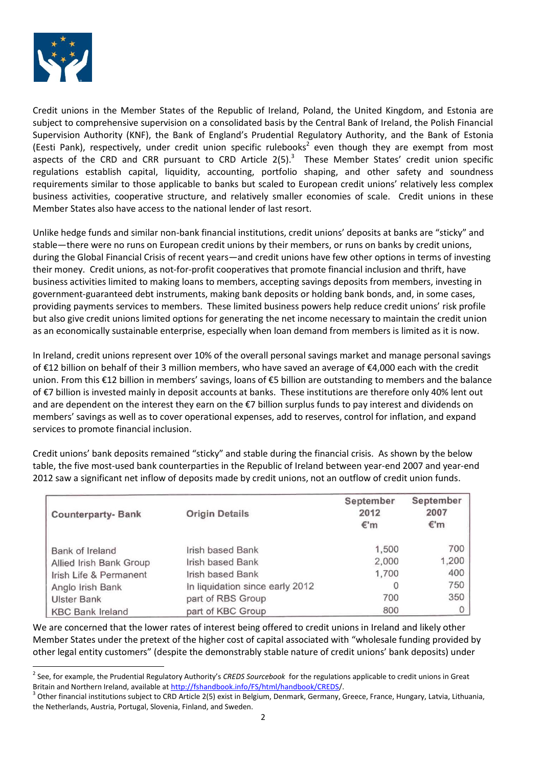

-

Credit unions in the Member States of the Republic of Ireland, Poland, the United Kingdom, and Estonia are subject to comprehensive supervision on a consolidated basis by the Central Bank of Ireland, the Polish Financial Supervision Authority (KNF), the Bank of England's Prudential Regulatory Authority, and the Bank of Estonia (Eesti Pank), respectively, under credit union specific rulebooks<sup>2</sup> even though they are exempt from most aspects of the CRD and CRR pursuant to CRD Article  $2(5).$ <sup>3</sup> These Member States' credit union specific regulations establish capital, liquidity, accounting, portfolio shaping, and other safety and soundness requirements similar to those applicable to banks but scaled to European credit unions' relatively less complex business activities, cooperative structure, and relatively smaller economies of scale. Credit unions in these Member States also have access to the national lender of last resort.

Unlike hedge funds and similar non-bank financial institutions, credit unions' deposits at banks are "sticky" and stable—there were no runs on European credit unions by their members, or runs on banks by credit unions, during the Global Financial Crisis of recent years—and credit unions have few other options in terms of investing their money. Credit unions, as not-for-profit cooperatives that promote financial inclusion and thrift, have business activities limited to making loans to members, accepting savings deposits from members, investing in government-guaranteed debt instruments, making bank deposits or holding bank bonds, and, in some cases, providing payments services to members. These limited business powers help reduce credit unions' risk profile but also give credit unions limited options for generating the net income necessary to maintain the credit union as an economically sustainable enterprise, especially when loan demand from members is limited as it is now.

In Ireland, credit unions represent over 10% of the overall personal savings market and manage personal savings of €12 billion on behalf of their 3 million members, who have saved an average of €4,000 each with the credit union. From this €12 billion in members' savings, loans of €5 billion are outstanding to members and the balance of €7 billion is invested mainly in deposit accounts at banks. These institutions are therefore only 40% lent out and are dependent on the interest they earn on the €7 billion surplus funds to pay interest and dividends on members' savings as well as to cover operational expenses, add to reserves, control for inflation, and expand services to promote financial inclusion.

Credit unions' bank deposits remained "sticky" and stable during the financial crisis. As shown by the below table, the five most-used bank counterparties in the Republic of Ireland between year-end 2007 and year-end 2012 saw a significant net inflow of deposits made by credit unions, not an outflow of credit union funds.

| <b>Counterparty-Bank</b> | <b>Origin Details</b>           | September<br>2012<br>€'m | September<br>2007<br>$\varepsilon$ 'm |
|--------------------------|---------------------------------|--------------------------|---------------------------------------|
| Bank of Ireland          | Irish based Bank                | 1,500                    | 700                                   |
| Allied Irish Bank Group  | Irish based Bank                | 2,000                    | 1,200                                 |
| Irish Life & Permanent   | Irish based Bank                | 1,700                    | 400                                   |
| Anglo Irish Bank         | In liquidation since early 2012 | 0                        | 750                                   |
| <b>Ulster Bank</b>       | part of RBS Group               | 700                      | 350                                   |
| <b>KBC Bank Ireland</b>  | part of KBC Group               | 800                      | $\circ$                               |

We are concerned that the lower rates of interest being offered to credit unions in Ireland and likely other Member States under the pretext of the higher cost of capital associated with "wholesale funding provided by other legal entity customers" (despite the demonstrably stable nature of credit unions' bank deposits) under

<sup>2</sup> See, for example, the Prudential Regulatory Authority's *CREDS Sourcebook* for the regulations applicable to credit unions in Great Britain and Northern Ireland, available a[t http://fshandbook.info/FS/html/handbook/CREDS/](http://fshandbook.info/FS/html/handbook/CREDS).

 $^3$  Other financial institutions subject to CRD Article 2(5) exist in Belgium, Denmark, Germany, Greece, France, Hungary, Latvia, Lithuania, the Netherlands, Austria, Portugal, Slovenia, Finland, and Sweden.